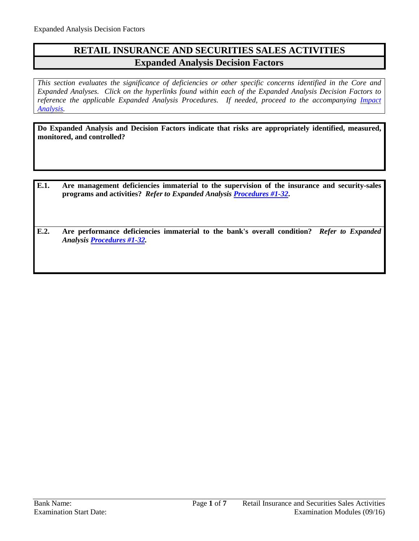## **RETAIL INSURANCE AND SECURITIES SALES ACTIVITIES Expanded Analysis Decision Factors**

*This section evaluates the significance of deficiencies or other specific concerns identified in the Core and Expanded Analyses. Click on the hyperlinks found within each of the Expanded Analysis Decision Factors to reference the applicable Expanded Analysis Procedures. If needed, proceed to the accompanying Impact [Analysis.](#page-6-0)*

**Do Expanded Analysis and Decision Factors indicate that risks are appropriately identified, measured, monitored, and controlled?**

- **E.1. Are management deficiencies immaterial to the supervision of the insurance and security-sales programs and activities?** *Refer to Expanded Analysis [Procedures #1-32](#page-1-0)***.**
- **E.2. Are performance deficiencies immaterial to the bank's overall condition?** *Refer to Expanded Analysis [Procedures #1-32.](#page-1-0)*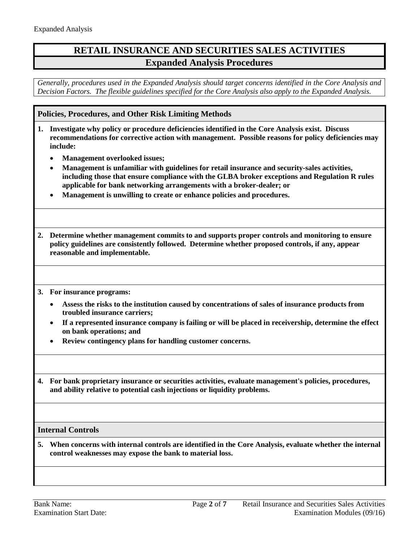## **RETAIL INSURANCE AND SECURITIES SALES ACTIVITIES Expanded Analysis Procedures**

*Generally, procedures used in the Expanded Analysis should target concerns identified in the Core Analysis and Decision Factors. The flexible guidelines specified for the Core Analysis also apply to the Expanded Analysis.*

<span id="page-1-0"></span>**Policies, Procedures, and Other Risk Limiting Methods**

- **1. Investigate why policy or procedure deficiencies identified in the Core Analysis exist. Discuss recommendations for corrective action with management. Possible reasons for policy deficiencies may include:**
	- **Management overlooked issues;**
	- **Management is unfamiliar with guidelines for retail insurance and security-sales activities, including those that ensure compliance with the GLBA broker exceptions and Regulation R rules applicable for bank networking arrangements with a broker-dealer; or**
	- **Management is unwilling to create or enhance policies and procedures.**
- **2. Determine whether management commits to and supports proper controls and monitoring to ensure policy guidelines are consistently followed. Determine whether proposed controls, if any, appear reasonable and implementable.**
- **3. For insurance programs:**
	- **Assess the risks to the institution caused by concentrations of sales of insurance products from troubled insurance carriers;**
	- **If a represented insurance company is failing or will be placed in receivership, determine the effect on bank operations; and**
	- **Review contingency plans for handling customer concerns.**
- **4. For bank proprietary insurance or securities activities, evaluate management's policies, procedures, and ability relative to potential cash injections or liquidity problems.**

## **Internal Controls**

**5. When concerns with internal controls are identified in the Core Analysis, evaluate whether the internal control weaknesses may expose the bank to material loss.**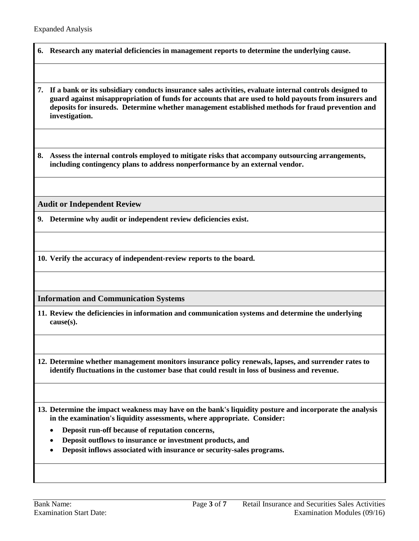- **6. Research any material deficiencies in management reports to determine the underlying cause.**
- **7. If a bank or its subsidiary conducts insurance sales activities, evaluate internal controls designed to guard against misappropriation of funds for accounts that are used to hold payouts from insurers and deposits for insureds. Determine whether management established methods for fraud prevention and investigation.**

**8. Assess the internal controls employed to mitigate risks that accompany outsourcing arrangements, including contingency plans to address nonperformance by an external vendor.**

**Audit or Independent Review**

**9. Determine why audit or independent review deficiencies exist.**

**10. Verify the accuracy of independent-review reports to the board.**

**Information and Communication Systems**

- **11. Review the deficiencies in information and communication systems and determine the underlying cause(s).**
- **12. Determine whether management monitors insurance policy renewals, lapses, and surrender rates to identify fluctuations in the customer base that could result in loss of business and revenue.**
- **13. Determine the impact weakness may have on the bank's liquidity posture and incorporate the analysis in the examination's liquidity assessments, where appropriate. Consider:**
	- **Deposit run-off because of reputation concerns,**
	- **Deposit outflows to insurance or investment products, and**
	- **Deposit inflows associated with insurance or security-sales programs.**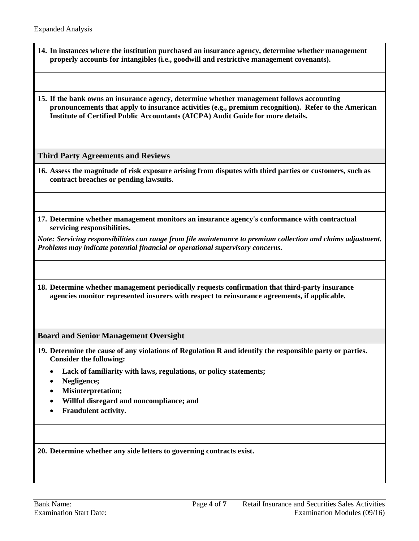- **14. In instances where the institution purchased an insurance agency, determine whether management properly accounts for intangibles (i.e., goodwill and restrictive management covenants).**
- **15. If the bank owns an insurance agency, determine whether management follows accounting pronouncements that apply to insurance activities (e.g., premium recognition). Refer to the American Institute of Certified Public Accountants (AICPA) Audit Guide for more details.**

**Third Party Agreements and Reviews**

- **16. Assess the magnitude of risk exposure arising from disputes with third parties or customers, such as contract breaches or pending lawsuits.**
- **17. Determine whether management monitors an insurance agency's conformance with contractual servicing responsibilities.**

*Note: Servicing responsibilities can range from file maintenance to premium collection and claims adjustment. Problems may indicate potential financial or operational supervisory concerns.*

**18. Determine whether management periodically requests confirmation that third-party insurance agencies monitor represented insurers with respect to reinsurance agreements, if applicable.**

**Board and Senior Management Oversight**

- **19. Determine the cause of any violations of Regulation R and identify the responsible party or parties. Consider the following:**
	- **Lack of familiarity with laws, regulations, or policy statements;**
	- **Negligence;**
	- **Misinterpretation;**
	- **Willful disregard and noncompliance; and**
	- **Fraudulent activity.**

**20. Determine whether any side letters to governing contracts exist.**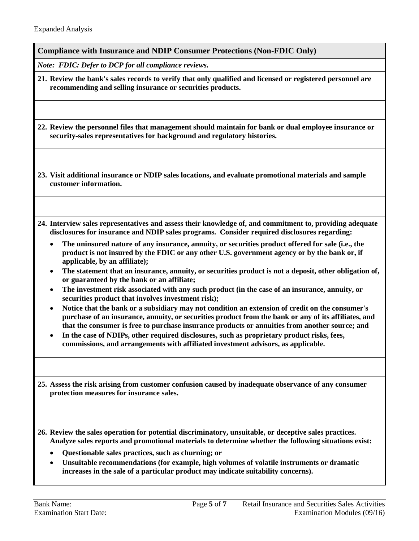**Compliance with Insurance and NDIP Consumer Protections (Non-FDIC Only)**

*Note: FDIC: Defer to DCP for all compliance reviews.*

**21. Review the bank's sales records to verify that only qualified and licensed or registered personnel are recommending and selling insurance or securities products.**

**22. Review the personnel files that management should maintain for bank or dual employee insurance or security-sales representatives for background and regulatory histories.**

**23. Visit additional insurance or NDIP sales locations, and evaluate promotional materials and sample customer information.**

- **24. Interview sales representatives and assess their knowledge of, and commitment to, providing adequate disclosures for insurance and NDIP sales programs. Consider required disclosures regarding:**
	- **The uninsured nature of any insurance, annuity, or securities product offered for sale (i.e., the product is not insured by the FDIC or any other U.S. government agency or by the bank or, if applicable, by an affiliate);**
	- **The statement that an insurance, annuity, or securities product is not a deposit, other obligation of, or guaranteed by the bank or an affiliate;**
	- **The investment risk associated with any such product (in the case of an insurance, annuity, or securities product that involves investment risk);**
	- **Notice that the bank or a subsidiary may not condition an extension of credit on the consumer's purchase of an insurance, annuity, or securities product from the bank or any of its affiliates, and that the consumer is free to purchase insurance products or annuities from another source; and**
	- **In the case of NDIPs, other required disclosures, such as proprietary product risks, fees, commissions, and arrangements with affiliated investment advisors, as applicable.**

**25. Assess the risk arising from customer confusion caused by inadequate observance of any consumer protection measures for insurance sales.**

**26. Review the sales operation for potential discriminatory, unsuitable, or deceptive sales practices. Analyze sales reports and promotional materials to determine whether the following situations exist:**

- **Questionable sales practices, such as churning; or**
- **Unsuitable recommendations (for example, high volumes of volatile instruments or dramatic increases in the sale of a particular product may indicate suitability concerns).**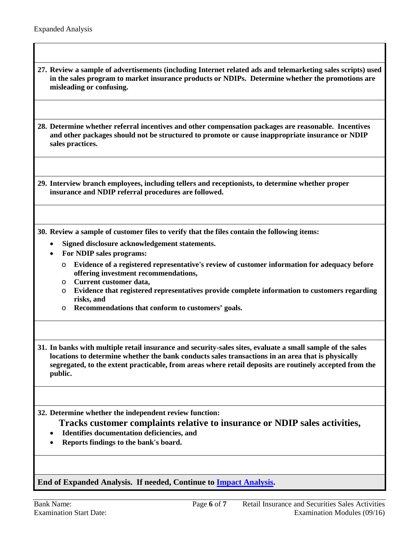**27. Review a sample of advertisements (including Internet related ads and telemarketing sales scripts) used in the sales program to market insurance products or NDIPs. Determine whether the promotions are misleading or confusing.**

**28. Determine whether referral incentives and other compensation packages are reasonable. Incentives and other packages should not be structured to promote or cause inappropriate insurance or NDIP sales practices.**

**29. Interview branch employees, including tellers and receptionists, to determine whether proper insurance and NDIP referral procedures are followed.**

**30. Review a sample of customer files to verify that the files contain the following items:**

- **Signed disclosure acknowledgement statements.**
- **For NDIP sales programs:**
	- o **Evidence of a registered representative's review of customer information for adequacy before offering investment recommendations,**
	- o **Current customer data,**
	- o **Evidence that registered representatives provide complete information to customers regarding risks, and**
	- o **Recommendations that conform to customers' goals.**
- **31. In banks with multiple retail insurance and security-sales sites, evaluate a small sample of the sales locations to determine whether the bank conducts sales transactions in an area that is physically segregated, to the extent practicable, from areas where retail deposits are routinely accepted from the public.**

**32. Determine whether the independent review function:**

**Tracks customer complaints relative to insurance or NDIP sales activities,**

- **Identifies documentation deficiencies, and**
- **Reports findings to the bank's board.**

**End of Expanded Analysis. If needed, Continue to [Impact Analysis.](#page-6-0)**